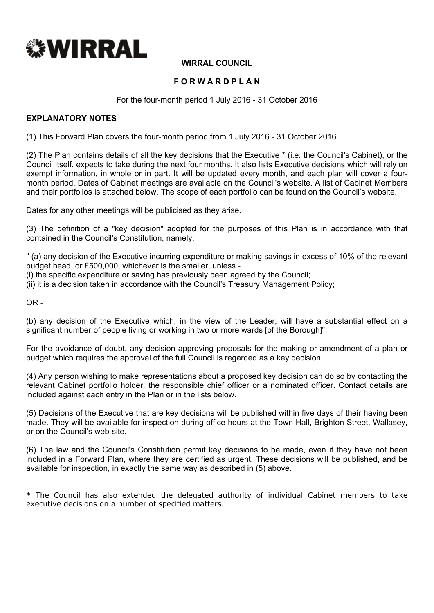

# **WIRRAL COUNCIL**

# **F O R W A R D P L A N**

For the four-month period 1 July 2016 - 31 October 2016

#### **EXPLANATORY NOTES**

(1) This Forward Plan covers the four-month period from 1 July 2016 - 31 October 2016.

(2) The Plan contains details of all the key decisions that the Executive \* (i.e. the Council's Cabinet), or the Council itself, expects to take during the next four months. It also lists Executive decisions which will rely on exempt information, in whole or in part. It will be updated every month, and each plan will cover a fourmonth period. Dates of Cabinet meetings are available on the Council's website. A list of Cabinet Members and their portfolios is attached below. The scope of each portfolio can be found on the Council's website.

Dates for any other meetings will be publicised as they arise.

(3) The definition of a "key decision" adopted for the purposes of this Plan is in accordance with that contained in the Council's Constitution, namely:

" (a) any decision of the Executive incurring expenditure or making savings in excess of 10% of the relevant budget head, or £500,000, whichever is the smaller, unless -

(i) the specific expenditure or saving has previously been agreed by the Council;

(ii) it is a decision taken in accordance with the Council's Treasury Management Policy;

 $OR -$ 

(b) any decision of the Executive which, in the view of the Leader, will have a substantial effect on a significant number of people living or working in two or more wards [of the Borough]".

For the avoidance of doubt, any decision approving proposals for the making or amendment of a plan or budget which requires the approval of the full Council is regarded as a key decision.

(4) Any person wishing to make representations about a proposed key decision can do so by contacting the relevant Cabinet portfolio holder, the responsible chief officer or a nominated officer. Contact details are included against each entry in the Plan or in the lists below.

(5) Decisions of the Executive that are key decisions will be published within five days of their having been made. They will be available for inspection during office hours at the Town Hall, Brighton Street, Wallasey, or on the Council's web-site.

(6) The law and the Council's Constitution permit key decisions to be made, even if they have not been included in a Forward Plan, where they are certified as urgent. These decisions will be published, and be available for inspection, in exactly the same way as described in (5) above.

\* The Council has also extended the delegated authority of individual Cabinet members to take executive decisions on a number of specified matters.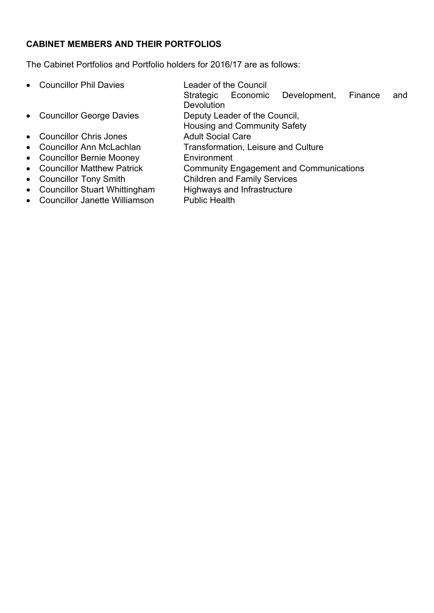# **CABINET MEMBERS AND THEIR PORTFOLIOS**

The Cabinet Portfolios and Portfolio holders for 2016/17 are as follows:

- Councillor Phil Davies Leader of the Council
- 
- Councillor Chris Jones Adult Social Care
- 
- Councillor Bernie Mooney **Environment**
- 
- 
- Councillor Stuart Whittingham Highways and Infrastructure
- Councillor Janette Williamson Public Health
- - Strategic Economic Development, Finance and **Devolution**
- Councillor George Davies Deputy Leader of the Council,
	- Housing and Community Safety
	-
	- Councillor Ann McLachlan Transformation, Leisure and Culture
		-
- Councillor Matthew Patrick Community Engagement and Communications
- Councillor Tony Smith Children and Family Services
	-
	-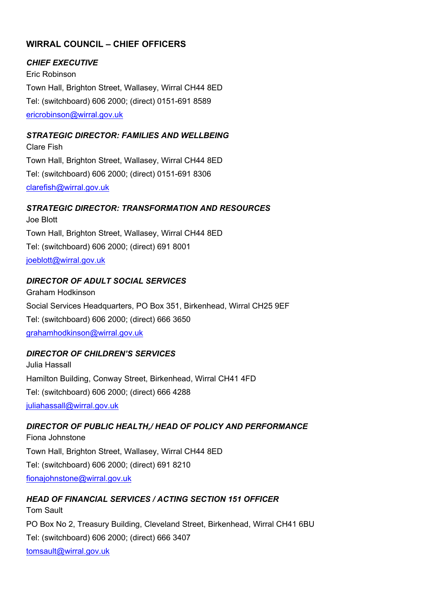# **WIRRAL COUNCIL – CHIEF OFFICERS**

#### *CHIEF EXECUTIVE*

Eric Robinson Town Hall, Brighton Street, Wallasey, Wirral CH44 8ED Tel: (switchboard) 606 2000; (direct) 0151-691 8589 [ericrobinson@wirral.gov.uk](mailto:ericrobinson@wirral.gov.uk)

# *STRATEGIC DIRECTOR: FAMILIES AND WELLBEING*

Clare Fish Town Hall, Brighton Street, Wallasey, Wirral CH44 8ED Tel: (switchboard) 606 2000; (direct) 0151-691 8306 [clarefish@wirral.gov.uk](mailto:clarefish@wirral.gov.uk)

#### *STRATEGIC DIRECTOR: TRANSFORMATION AND RESOURCES*

Joe Blott Town Hall, Brighton Street, Wallasey, Wirral CH44 8ED Tel: (switchboard) 606 2000; (direct) 691 8001 [joeblott@wirral.gov.uk](mailto:joeblott@wirral.gov.uk)

#### *DIRECTOR OF ADULT SOCIAL SERVICES*

Graham Hodkinson Social Services Headquarters, PO Box 351, Birkenhead, Wirral CH25 9EF Tel: (switchboard) 606 2000; (direct) 666 3650 [grahamhodkinson@wirral.gov.uk](mailto:grahamhodkinson@wirral.gov.uk)

# *DIRECTOR OF CHILDREN'S SERVICES*

Julia Hassall Hamilton Building, Conway Street, Birkenhead, Wirral CH41 4FD Tel: (switchboard) 606 2000; (direct) 666 4288 [juliahassall@wirral.gov.uk](mailto:juliahassall@wirral.gov.uk)

# *DIRECTOR OF PUBLIC HEALTH,/ HEAD OF POLICY AND PERFORMANCE*

Fiona Johnstone Town Hall, Brighton Street, Wallasey, Wirral CH44 8ED Tel: (switchboard) 606 2000; (direct) 691 8210 [fionajohnstone@wirral.gov.uk](mailto:fiona.johnstone@wirral.nhs.uk)

# *HEAD OF FINANCIAL SERVICES / ACTING SECTION 151 OFFICER*

Tom Sault PO Box No 2, Treasury Building, Cleveland Street, Birkenhead, Wirral CH41 6BU Tel: (switchboard) 606 2000; (direct) 666 3407 [tomsault@wirral.gov.uk](mailto:viviennequayle@wirral.gov.uk)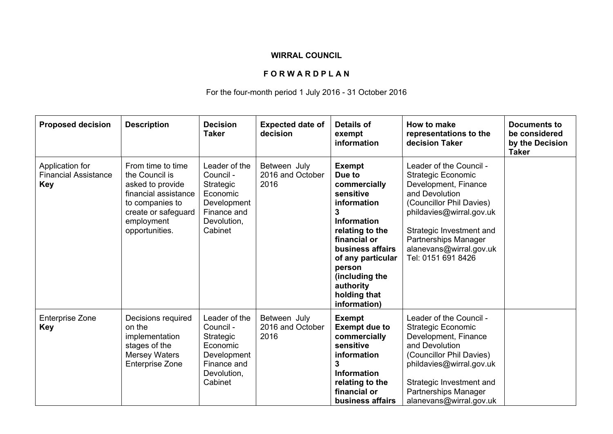# **WIRRAL COUNCIL**

# **F O R W A R D P L A N**

# For the four-month period 1 July 2016 - 31 October 2016

| <b>Proposed decision</b>                                     | <b>Description</b>                                                                                                                                        | <b>Decision</b><br><b>Taker</b>                                                                             | <b>Expected date of</b><br>decision      | <b>Details of</b><br>exempt<br>information                                                                                                                                                                                                          | How to make<br>representations to the<br>decision Taker                                                                                                                                                                                                     | <b>Documents to</b><br>be considered<br>by the Decision<br><b>Taker</b> |
|--------------------------------------------------------------|-----------------------------------------------------------------------------------------------------------------------------------------------------------|-------------------------------------------------------------------------------------------------------------|------------------------------------------|-----------------------------------------------------------------------------------------------------------------------------------------------------------------------------------------------------------------------------------------------------|-------------------------------------------------------------------------------------------------------------------------------------------------------------------------------------------------------------------------------------------------------------|-------------------------------------------------------------------------|
| Application for<br><b>Financial Assistance</b><br><b>Key</b> | From time to time<br>the Council is<br>asked to provide<br>financial assistance<br>to companies to<br>create or safeguard<br>employment<br>opportunities. | Leader of the<br>Council -<br>Strategic<br>Economic<br>Development<br>Finance and<br>Devolution,<br>Cabinet | Between July<br>2016 and October<br>2016 | <b>Exempt</b><br>Due to<br>commercially<br>sensitive<br>information<br>3<br><b>Information</b><br>relating to the<br>financial or<br>business affairs<br>of any particular<br>person<br>(including the<br>authority<br>holding that<br>information) | Leader of the Council -<br><b>Strategic Economic</b><br>Development, Finance<br>and Devolution<br>(Councillor Phil Davies)<br>phildavies@wirral.gov.uk<br>Strategic Investment and<br>Partnerships Manager<br>alanevans@wirral.gov.uk<br>Tel: 0151 691 8426 |                                                                         |
| <b>Enterprise Zone</b><br><b>Key</b>                         | Decisions required<br>on the<br>implementation<br>stages of the<br><b>Mersey Waters</b><br><b>Enterprise Zone</b>                                         | Leader of the<br>Council -<br>Strategic<br>Economic<br>Development<br>Finance and<br>Devolution,<br>Cabinet | Between July<br>2016 and October<br>2016 | <b>Exempt</b><br><b>Exempt due to</b><br>commercially<br>sensitive<br>information<br>3<br><b>Information</b><br>relating to the<br>financial or<br>business affairs                                                                                 | Leader of the Council -<br><b>Strategic Economic</b><br>Development, Finance<br>and Devolution<br>(Councillor Phil Davies)<br>phildavies@wirral.gov.uk<br>Strategic Investment and<br>Partnerships Manager<br>alanevans@wirral.gov.uk                       |                                                                         |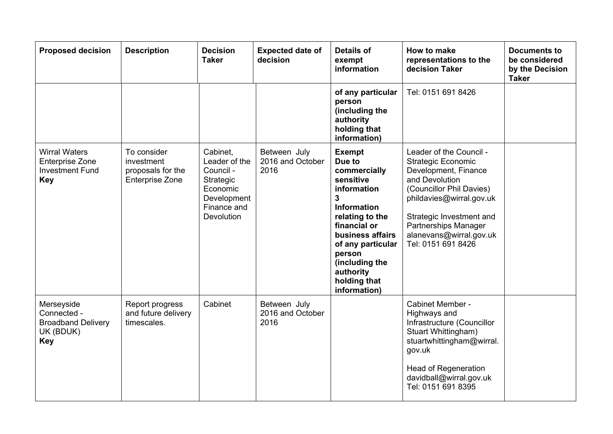| <b>Proposed decision</b>                                                               | <b>Description</b>                                                       | <b>Decision</b><br><b>Taker</b>                                                                             | <b>Expected date of</b><br>decision      | <b>Details of</b><br>exempt<br>information                                                                                                                                                                                                                     | How to make<br>representations to the<br>decision Taker                                                                                                                                                                                                     | <b>Documents to</b><br>be considered<br>by the Decision<br><b>Taker</b> |
|----------------------------------------------------------------------------------------|--------------------------------------------------------------------------|-------------------------------------------------------------------------------------------------------------|------------------------------------------|----------------------------------------------------------------------------------------------------------------------------------------------------------------------------------------------------------------------------------------------------------------|-------------------------------------------------------------------------------------------------------------------------------------------------------------------------------------------------------------------------------------------------------------|-------------------------------------------------------------------------|
|                                                                                        |                                                                          |                                                                                                             |                                          | of any particular<br>person<br>(including the<br>authority<br>holding that<br>information)                                                                                                                                                                     | Tel: 0151 691 8426                                                                                                                                                                                                                                          |                                                                         |
| <b>Wirral Waters</b><br><b>Enterprise Zone</b><br><b>Investment Fund</b><br><b>Key</b> | To consider<br>investment<br>proposals for the<br><b>Enterprise Zone</b> | Cabinet.<br>Leader of the<br>Council -<br>Strategic<br>Economic<br>Development<br>Finance and<br>Devolution | Between July<br>2016 and October<br>2016 | <b>Exempt</b><br>Due to<br>commercially<br>sensitive<br>information<br>$\mathbf{3}$<br><b>Information</b><br>relating to the<br>financial or<br>business affairs<br>of any particular<br>person<br>(including the<br>authority<br>holding that<br>information) | Leader of the Council -<br><b>Strategic Economic</b><br>Development, Finance<br>and Devolution<br>(Councillor Phil Davies)<br>phildavies@wirral.gov.uk<br>Strategic Investment and<br>Partnerships Manager<br>alanevans@wirral.gov.uk<br>Tel: 0151 691 8426 |                                                                         |
| Merseyside<br>Connected -<br><b>Broadband Delivery</b><br>UK (BDUK)<br><b>Key</b>      | Report progress<br>and future delivery<br>timescales.                    | Cabinet                                                                                                     | Between July<br>2016 and October<br>2016 |                                                                                                                                                                                                                                                                | Cabinet Member -<br>Highways and<br>Infrastructure (Councillor<br>Stuart Whittingham)<br>stuartwhittingham@wirral.<br>gov.uk<br><b>Head of Regeneration</b><br>davidball@wirral.gov.uk<br>Tel: 0151 691 8395                                                |                                                                         |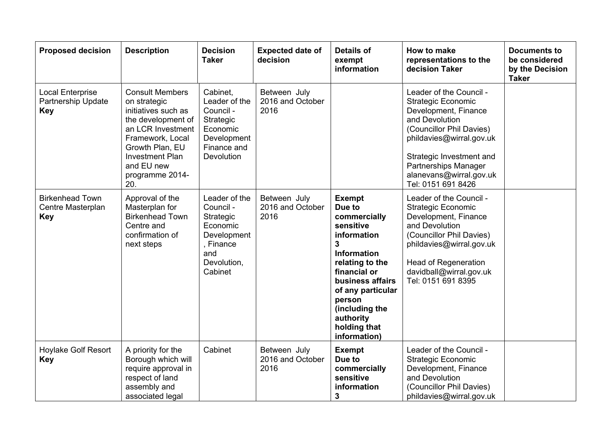| <b>Proposed decision</b>                                    | <b>Description</b>                                                                                                                                                                                                | <b>Decision</b><br><b>Taker</b>                                                                                  | <b>Expected date of</b><br>decision      | <b>Details of</b><br>exempt<br>information                                                                                                                                                                                                                     | How to make<br>representations to the<br>decision Taker                                                                                                                                                                                                     | <b>Documents to</b><br>be considered<br>by the Decision<br><b>Taker</b> |
|-------------------------------------------------------------|-------------------------------------------------------------------------------------------------------------------------------------------------------------------------------------------------------------------|------------------------------------------------------------------------------------------------------------------|------------------------------------------|----------------------------------------------------------------------------------------------------------------------------------------------------------------------------------------------------------------------------------------------------------------|-------------------------------------------------------------------------------------------------------------------------------------------------------------------------------------------------------------------------------------------------------------|-------------------------------------------------------------------------|
| <b>Local Enterprise</b><br>Partnership Update<br><b>Key</b> | <b>Consult Members</b><br>on strategic<br>initiatives such as<br>the development of<br>an LCR Investment<br>Framework, Local<br>Growth Plan, EU<br><b>Investment Plan</b><br>and EU new<br>programme 2014-<br>20. | Cabinet,<br>Leader of the<br>Council -<br>Strategic<br>Economic<br>Development<br>Finance and<br>Devolution      | Between July<br>2016 and October<br>2016 |                                                                                                                                                                                                                                                                | Leader of the Council -<br><b>Strategic Economic</b><br>Development, Finance<br>and Devolution<br>(Councillor Phil Davies)<br>phildavies@wirral.gov.uk<br>Strategic Investment and<br>Partnerships Manager<br>alanevans@wirral.gov.uk<br>Tel: 0151 691 8426 |                                                                         |
| <b>Birkenhead Town</b><br>Centre Masterplan<br><b>Key</b>   | Approval of the<br>Masterplan for<br><b>Birkenhead Town</b><br>Centre and<br>confirmation of<br>next steps                                                                                                        | Leader of the<br>Council -<br>Strategic<br>Economic<br>Development<br>, Finance<br>and<br>Devolution,<br>Cabinet | Between July<br>2016 and October<br>2016 | <b>Exempt</b><br>Due to<br>commercially<br>sensitive<br>information<br>$\mathbf{3}$<br><b>Information</b><br>relating to the<br>financial or<br>business affairs<br>of any particular<br>person<br>(including the<br>authority<br>holding that<br>information) | Leader of the Council -<br><b>Strategic Economic</b><br>Development, Finance<br>and Devolution<br>(Councillor Phil Davies)<br>phildavies@wirral.gov.uk<br><b>Head of Regeneration</b><br>davidball@wirral.gov.uk<br>Tel: 0151 691 8395                      |                                                                         |
| <b>Hoylake Golf Resort</b><br><b>Key</b>                    | A priority for the<br>Borough which will<br>require approval in<br>respect of land<br>assembly and<br>associated legal                                                                                            | Cabinet                                                                                                          | Between July<br>2016 and October<br>2016 | <b>Exempt</b><br>Due to<br>commercially<br>sensitive<br>information<br>$\mathbf{3}$                                                                                                                                                                            | Leader of the Council -<br>Strategic Economic<br>Development, Finance<br>and Devolution<br>(Councillor Phil Davies)<br>phildavies@wirral.gov.uk                                                                                                             |                                                                         |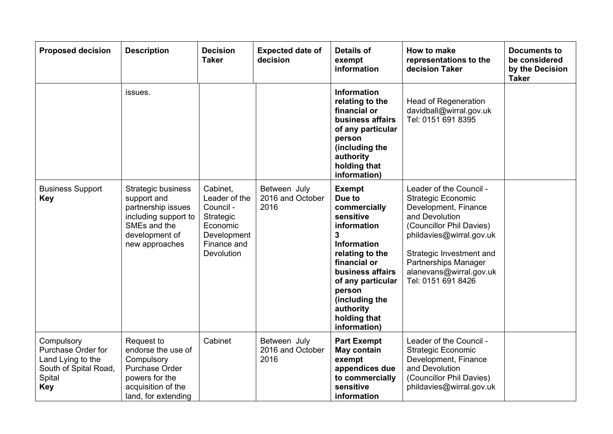| <b>Proposed decision</b>                                                                               | <b>Description</b>                                                                                                                         | <b>Decision</b><br><b>Taker</b>                                                                             | <b>Expected date of</b><br>decision      | <b>Details of</b><br>exempt<br>information                                                                                                                                                                                                          | How to make<br>representations to the<br>decision Taker                                                                                                                                                                                                     | <b>Documents to</b><br>be considered<br>by the Decision<br><b>Taker</b> |
|--------------------------------------------------------------------------------------------------------|--------------------------------------------------------------------------------------------------------------------------------------------|-------------------------------------------------------------------------------------------------------------|------------------------------------------|-----------------------------------------------------------------------------------------------------------------------------------------------------------------------------------------------------------------------------------------------------|-------------------------------------------------------------------------------------------------------------------------------------------------------------------------------------------------------------------------------------------------------------|-------------------------------------------------------------------------|
|                                                                                                        | issues.                                                                                                                                    |                                                                                                             |                                          | <b>Information</b><br>relating to the<br>financial or<br>business affairs<br>of any particular<br>person<br>(including the<br>authority<br>holding that<br>information)                                                                             | <b>Head of Regeneration</b><br>davidball@wirral.gov.uk<br>Tel: 0151 691 8395                                                                                                                                                                                |                                                                         |
| <b>Business Support</b><br><b>Key</b>                                                                  | <b>Strategic business</b><br>support and<br>partnership issues<br>including support to<br>SMEs and the<br>development of<br>new approaches | Cabinet.<br>Leader of the<br>Council -<br>Strategic<br>Economic<br>Development<br>Finance and<br>Devolution | Between July<br>2016 and October<br>2016 | <b>Exempt</b><br>Due to<br>commercially<br>sensitive<br>information<br>3<br><b>Information</b><br>relating to the<br>financial or<br>business affairs<br>of any particular<br>person<br>(including the<br>authority<br>holding that<br>information) | Leader of the Council -<br><b>Strategic Economic</b><br>Development, Finance<br>and Devolution<br>(Councillor Phil Davies)<br>phildavies@wirral.gov.uk<br>Strategic Investment and<br>Partnerships Manager<br>alanevans@wirral.gov.uk<br>Tel: 0151 691 8426 |                                                                         |
| Compulsory<br>Purchase Order for<br>Land Lying to the<br>South of Spital Road,<br>Spital<br><b>Key</b> | Request to<br>endorse the use of<br>Compulsory<br>Purchase Order<br>powers for the<br>acquisition of the<br>land, for extending            | Cabinet                                                                                                     | Between July<br>2016 and October<br>2016 | <b>Part Exempt</b><br>May contain<br>exempt<br>appendices due<br>to commercially<br>sensitive<br>information                                                                                                                                        | Leader of the Council -<br><b>Strategic Economic</b><br>Development, Finance<br>and Devolution<br>(Councillor Phil Davies)<br>phildavies@wirral.gov.uk                                                                                                      |                                                                         |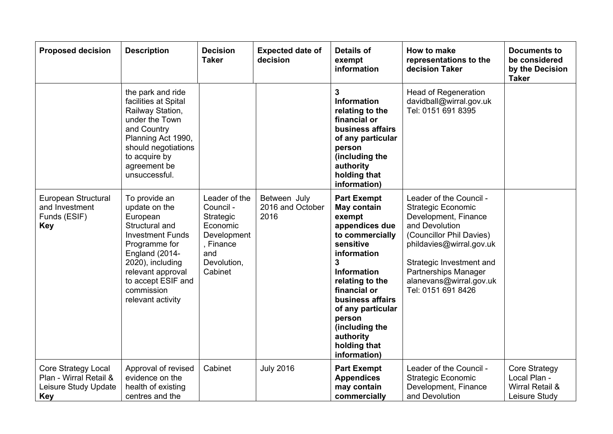| <b>Proposed decision</b>                                                                   | <b>Description</b>                                                                                                                                                                                                           | <b>Decision</b><br><b>Taker</b>                                                                                  | <b>Expected date of</b><br>decision      | <b>Details of</b><br>exempt<br>information                                                                                                                                                                                                                                                                | How to make<br>representations to the<br>decision Taker                                                                                                                                                                                                     | <b>Documents to</b><br>be considered<br>by the Decision<br><b>Taker</b>  |
|--------------------------------------------------------------------------------------------|------------------------------------------------------------------------------------------------------------------------------------------------------------------------------------------------------------------------------|------------------------------------------------------------------------------------------------------------------|------------------------------------------|-----------------------------------------------------------------------------------------------------------------------------------------------------------------------------------------------------------------------------------------------------------------------------------------------------------|-------------------------------------------------------------------------------------------------------------------------------------------------------------------------------------------------------------------------------------------------------------|--------------------------------------------------------------------------|
|                                                                                            | the park and ride<br>facilities at Spital<br>Railway Station,<br>under the Town<br>and Country<br>Planning Act 1990,<br>should negotiations<br>to acquire by<br>agreement be<br>unsuccessful.                                |                                                                                                                  |                                          | 3<br><b>Information</b><br>relating to the<br>financial or<br>business affairs<br>of any particular<br>person<br>(including the<br>authority<br>holding that<br>information)                                                                                                                              | <b>Head of Regeneration</b><br>davidball@wirral.gov.uk<br>Tel: 0151 691 8395                                                                                                                                                                                |                                                                          |
| European Structural<br>and Investment<br>Funds (ESIF)<br><b>Key</b>                        | To provide an<br>update on the<br>European<br>Structural and<br><b>Investment Funds</b><br>Programme for<br>England (2014-<br>2020), including<br>relevant approval<br>to accept ESIF and<br>commission<br>relevant activity | Leader of the<br>Council -<br>Strategic<br>Economic<br>Development<br>, Finance<br>and<br>Devolution,<br>Cabinet | Between July<br>2016 and October<br>2016 | <b>Part Exempt</b><br>May contain<br>exempt<br>appendices due<br>to commercially<br>sensitive<br>information<br>$\overline{3}$<br><b>Information</b><br>relating to the<br>financial or<br>business affairs<br>of any particular<br>person<br>(including the<br>authority<br>holding that<br>information) | Leader of the Council -<br><b>Strategic Economic</b><br>Development, Finance<br>and Devolution<br>(Councillor Phil Davies)<br>phildavies@wirral.gov.uk<br>Strategic Investment and<br>Partnerships Manager<br>alanevans@wirral.gov.uk<br>Tel: 0151 691 8426 |                                                                          |
| <b>Core Strategy Local</b><br>Plan - Wirral Retail &<br>Leisure Study Update<br><b>Key</b> | Approval of revised<br>evidence on the<br>health of existing<br>centres and the                                                                                                                                              | Cabinet                                                                                                          | <b>July 2016</b>                         | <b>Part Exempt</b><br><b>Appendices</b><br>may contain<br>commercially                                                                                                                                                                                                                                    | Leader of the Council -<br><b>Strategic Economic</b><br>Development, Finance<br>and Devolution                                                                                                                                                              | <b>Core Strategy</b><br>Local Plan -<br>Wirral Retail &<br>Leisure Study |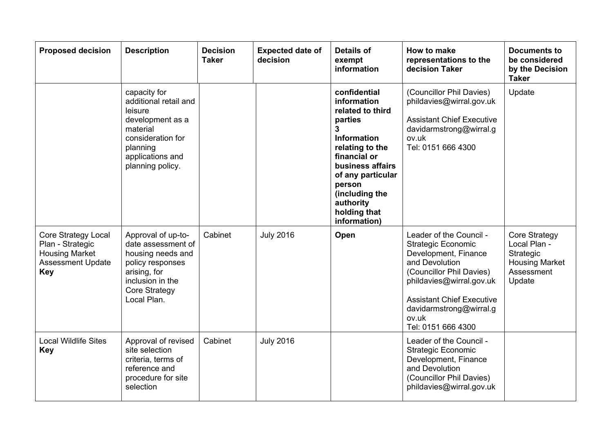| <b>Proposed decision</b>                                                                                   | <b>Description</b>                                                                                                                                           | <b>Decision</b><br><b>Taker</b> | <b>Expected date of</b><br>decision | <b>Details of</b><br>exempt<br>information                                                                                                                                                                                                 | How to make<br>representations to the<br>decision Taker                                                                                                                                                                                              | <b>Documents to</b><br>be considered<br>by the Decision<br><b>Taker</b>                     |
|------------------------------------------------------------------------------------------------------------|--------------------------------------------------------------------------------------------------------------------------------------------------------------|---------------------------------|-------------------------------------|--------------------------------------------------------------------------------------------------------------------------------------------------------------------------------------------------------------------------------------------|------------------------------------------------------------------------------------------------------------------------------------------------------------------------------------------------------------------------------------------------------|---------------------------------------------------------------------------------------------|
|                                                                                                            | capacity for<br>additional retail and<br>leisure<br>development as a<br>material<br>consideration for<br>planning<br>applications and<br>planning policy.    |                                 |                                     | confidential<br>information<br>related to third<br>parties<br>3<br><b>Information</b><br>relating to the<br>financial or<br>business affairs<br>of any particular<br>person<br>(including the<br>authority<br>holding that<br>information) | (Councillor Phil Davies)<br>phildavies@wirral.gov.uk<br><b>Assistant Chief Executive</b><br>davidarmstrong@wirral.g<br>ov.uk<br>Tel: 0151 666 4300                                                                                                   | Update                                                                                      |
| Core Strategy Local<br>Plan - Strategic<br><b>Housing Market</b><br><b>Assessment Update</b><br><b>Key</b> | Approval of up-to-<br>date assessment of<br>housing needs and<br>policy responses<br>arising, for<br>inclusion in the<br><b>Core Strategy</b><br>Local Plan. | Cabinet                         | <b>July 2016</b>                    | Open                                                                                                                                                                                                                                       | Leader of the Council -<br><b>Strategic Economic</b><br>Development, Finance<br>and Devolution<br>(Councillor Phil Davies)<br>phildavies@wirral.gov.uk<br><b>Assistant Chief Executive</b><br>davidarmstrong@wirral.g<br>ov.uk<br>Tel: 0151 666 4300 | Core Strategy<br>Local Plan -<br>Strategic<br><b>Housing Market</b><br>Assessment<br>Update |
| <b>Local Wildlife Sites</b><br><b>Key</b>                                                                  | Approval of revised<br>site selection<br>criteria, terms of<br>reference and<br>procedure for site<br>selection                                              | Cabinet                         | <b>July 2016</b>                    |                                                                                                                                                                                                                                            | Leader of the Council -<br><b>Strategic Economic</b><br>Development, Finance<br>and Devolution<br>(Councillor Phil Davies)<br>phildavies@wirral.gov.uk                                                                                               |                                                                                             |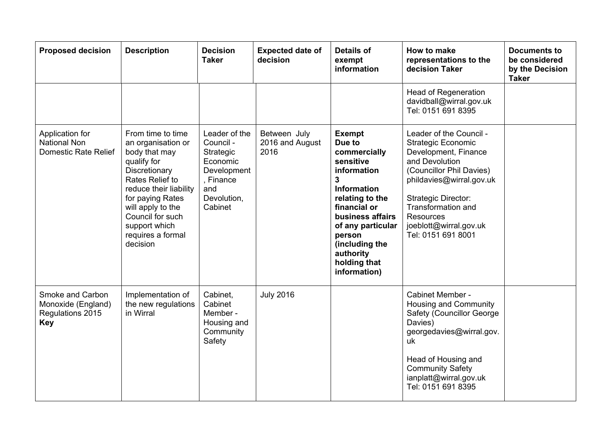| <b>Proposed decision</b>                                                 | <b>Description</b>                                                                                                                                                                                                                                   | <b>Decision</b><br><b>Taker</b>                                                                                  | <b>Expected date of</b><br>decision     | <b>Details of</b><br>exempt<br>information                                                                                                                                                                                                                       | How to make<br>representations to the<br>decision Taker                                                                                                                                                                                                                               | <b>Documents to</b><br>be considered<br>by the Decision<br><b>Taker</b> |
|--------------------------------------------------------------------------|------------------------------------------------------------------------------------------------------------------------------------------------------------------------------------------------------------------------------------------------------|------------------------------------------------------------------------------------------------------------------|-----------------------------------------|------------------------------------------------------------------------------------------------------------------------------------------------------------------------------------------------------------------------------------------------------------------|---------------------------------------------------------------------------------------------------------------------------------------------------------------------------------------------------------------------------------------------------------------------------------------|-------------------------------------------------------------------------|
|                                                                          |                                                                                                                                                                                                                                                      |                                                                                                                  |                                         |                                                                                                                                                                                                                                                                  | <b>Head of Regeneration</b><br>davidball@wirral.gov.uk<br>Tel: 0151 691 8395                                                                                                                                                                                                          |                                                                         |
| Application for<br><b>National Non</b><br>Domestic Rate Relief           | From time to time<br>an organisation or<br>body that may<br>qualify for<br>Discretionary<br>Rates Relief to<br>reduce their liability<br>for paying Rates<br>will apply to the<br>Council for such<br>support which<br>requires a formal<br>decision | Leader of the<br>Council -<br>Strategic<br>Economic<br>Development<br>, Finance<br>and<br>Devolution,<br>Cabinet | Between July<br>2016 and August<br>2016 | <b>Exempt</b><br>Due to<br>commercially<br>sensitive<br>information<br>$\overline{3}$<br><b>Information</b><br>relating to the<br>financial or<br>business affairs<br>of any particular<br>person<br>(including the<br>authority<br>holding that<br>information) | Leader of the Council -<br><b>Strategic Economic</b><br>Development, Finance<br>and Devolution<br>(Councillor Phil Davies)<br>phildavies@wirral.gov.uk<br><b>Strategic Director:</b><br><b>Transformation and</b><br><b>Resources</b><br>joeblott@wirral.gov.uk<br>Tel: 0151 691 8001 |                                                                         |
| Smoke and Carbon<br>Monoxide (England)<br>Regulations 2015<br><b>Key</b> | Implementation of<br>the new regulations<br>in Wirral                                                                                                                                                                                                | Cabinet,<br>Cabinet<br>Member -<br>Housing and<br>Community<br>Safety                                            | <b>July 2016</b>                        |                                                                                                                                                                                                                                                                  | Cabinet Member -<br>Housing and Community<br>Safety (Councillor George<br>Davies)<br>georgedavies@wirral.gov.<br>uk<br>Head of Housing and<br><b>Community Safety</b><br>ianplatt@wirral.gov.uk<br>Tel: 0151 691 8395                                                                 |                                                                         |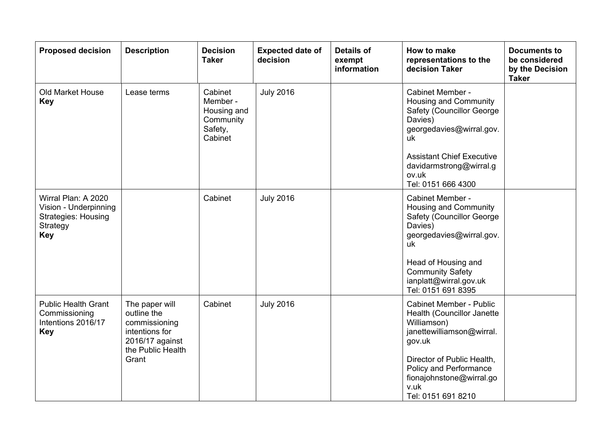| <b>Proposed decision</b>                                                                             | <b>Description</b>                                                                                       | <b>Decision</b><br><b>Taker</b>                                       | <b>Expected date of</b><br>decision | <b>Details of</b><br>exempt<br>information | How to make<br>representations to the<br>decision Taker                                                                                                                                                 | <b>Documents to</b><br>be considered<br>by the Decision<br><b>Taker</b> |
|------------------------------------------------------------------------------------------------------|----------------------------------------------------------------------------------------------------------|-----------------------------------------------------------------------|-------------------------------------|--------------------------------------------|---------------------------------------------------------------------------------------------------------------------------------------------------------------------------------------------------------|-------------------------------------------------------------------------|
| <b>Old Market House</b><br><b>Key</b>                                                                | Lease terms                                                                                              | Cabinet<br>Member -<br>Housing and<br>Community<br>Safety,<br>Cabinet | <b>July 2016</b>                    |                                            | Cabinet Member -<br>Housing and Community<br><b>Safety (Councillor George)</b><br>Davies)<br>georgedavies@wirral.gov.<br>uk                                                                             |                                                                         |
|                                                                                                      |                                                                                                          |                                                                       |                                     |                                            | <b>Assistant Chief Executive</b><br>davidarmstrong@wirral.g<br>ov.uk<br>Tel: 0151 666 4300                                                                                                              |                                                                         |
| Wirral Plan: A 2020<br>Vision - Underpinning<br><b>Strategies: Housing</b><br>Strategy<br><b>Key</b> |                                                                                                          | Cabinet                                                               | <b>July 2016</b>                    |                                            | Cabinet Member -<br>Housing and Community<br><b>Safety (Councillor George)</b><br>Davies)<br>georgedavies@wirral.gov.<br>uk<br>Head of Housing and<br><b>Community Safety</b><br>ianplatt@wirral.gov.uk |                                                                         |
|                                                                                                      |                                                                                                          |                                                                       |                                     |                                            | Tel: 0151 691 8395                                                                                                                                                                                      |                                                                         |
| <b>Public Health Grant</b><br>Commissioning<br>Intentions 2016/17<br><b>Key</b>                      | The paper will<br>outline the<br>commissioning<br>intentions for<br>2016/17 against<br>the Public Health | Cabinet                                                               | <b>July 2016</b>                    |                                            | <b>Cabinet Member - Public</b><br>Health (Councillor Janette<br>Williamson)<br>janettewilliamson@wirral.<br>gov.uk                                                                                      |                                                                         |
|                                                                                                      | Grant                                                                                                    |                                                                       |                                     |                                            | Director of Public Health,<br>Policy and Performance<br>fionajohnstone@wirral.go<br>v.uk<br>Tel: 0151 691 8210                                                                                          |                                                                         |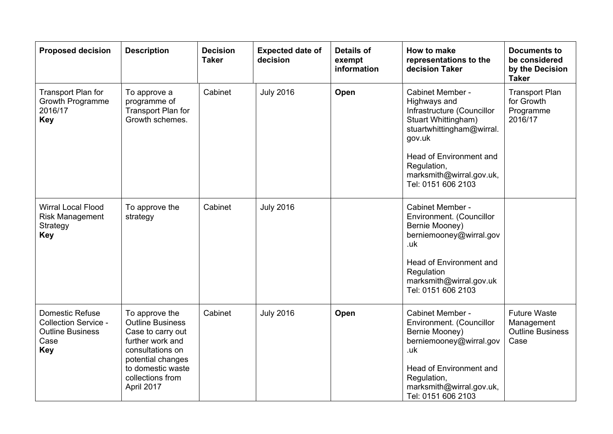| <b>Proposed decision</b>                                                                               | <b>Description</b>                                                                                                                                                                 | <b>Decision</b><br><b>Taker</b> | <b>Expected date of</b><br>decision | <b>Details of</b><br>exempt<br>information | How to make<br>representations to the<br>decision Taker                                                                                                                                                                  | <b>Documents to</b><br>be considered<br>by the Decision<br><b>Taker</b> |
|--------------------------------------------------------------------------------------------------------|------------------------------------------------------------------------------------------------------------------------------------------------------------------------------------|---------------------------------|-------------------------------------|--------------------------------------------|--------------------------------------------------------------------------------------------------------------------------------------------------------------------------------------------------------------------------|-------------------------------------------------------------------------|
| Transport Plan for<br><b>Growth Programme</b><br>2016/17<br><b>Key</b>                                 | To approve a<br>programme of<br>Transport Plan for<br>Growth schemes.                                                                                                              | Cabinet                         | <b>July 2016</b>                    | Open                                       | Cabinet Member -<br>Highways and<br>Infrastructure (Councillor<br>Stuart Whittingham)<br>stuartwhittingham@wirral.<br>gov.uk<br>Head of Environment and<br>Regulation,<br>marksmith@wirral.gov.uk,<br>Tel: 0151 606 2103 | <b>Transport Plan</b><br>for Growth<br>Programme<br>2016/17             |
| <b>Wirral Local Flood</b><br><b>Risk Management</b><br>Strategy<br><b>Key</b>                          | To approve the<br>strategy                                                                                                                                                         | Cabinet                         | <b>July 2016</b>                    |                                            | Cabinet Member -<br>Environment. (Councillor<br>Bernie Mooney)<br>berniemooney@wirral.gov<br>.uk<br>Head of Environment and<br>Regulation<br>marksmith@wirral.gov.uk<br>Tel: 0151 606 2103                               |                                                                         |
| <b>Domestic Refuse</b><br><b>Collection Service -</b><br><b>Outline Business</b><br>Case<br><b>Key</b> | To approve the<br><b>Outline Business</b><br>Case to carry out<br>further work and<br>consultations on<br>potential changes<br>to domestic waste<br>collections from<br>April 2017 | Cabinet                         | <b>July 2016</b>                    | Open                                       | Cabinet Member -<br>Environment. (Councillor<br>Bernie Mooney)<br>berniemooney@wirral.gov<br>.uk<br>Head of Environment and<br>Regulation,<br>marksmith@wirral.gov.uk,<br>Tel: 0151 606 2103                             | <b>Future Waste</b><br>Management<br><b>Outline Business</b><br>Case    |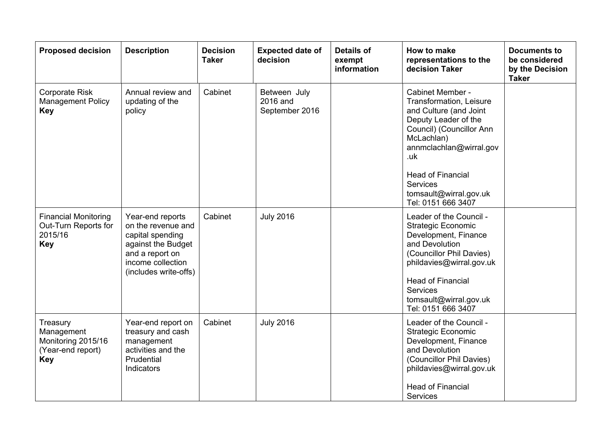| <b>Proposed decision</b>                                                        | <b>Description</b>                                                                                                                                | <b>Decision</b><br><b>Taker</b> | <b>Expected date of</b><br>decision        | <b>Details of</b><br>exempt<br>information | How to make<br>representations to the<br>decision Taker                                                                                                                                                                                                                  | <b>Documents to</b><br>be considered<br>by the Decision<br><b>Taker</b> |
|---------------------------------------------------------------------------------|---------------------------------------------------------------------------------------------------------------------------------------------------|---------------------------------|--------------------------------------------|--------------------------------------------|--------------------------------------------------------------------------------------------------------------------------------------------------------------------------------------------------------------------------------------------------------------------------|-------------------------------------------------------------------------|
| <b>Corporate Risk</b><br><b>Management Policy</b><br>Key                        | Annual review and<br>updating of the<br>policy                                                                                                    | Cabinet                         | Between July<br>2016 and<br>September 2016 |                                            | Cabinet Member -<br>Transformation, Leisure<br>and Culture (and Joint<br>Deputy Leader of the<br>Council) (Councillor Ann<br>McLachlan)<br>annmclachlan@wirral.gov<br>.uk<br><b>Head of Financial</b><br><b>Services</b><br>tomsault@wirral.gov.uk<br>Tel: 0151 666 3407 |                                                                         |
| <b>Financial Monitoring</b><br>Out-Turn Reports for<br>2015/16<br><b>Key</b>    | Year-end reports<br>on the revenue and<br>capital spending<br>against the Budget<br>and a report on<br>income collection<br>(includes write-offs) | Cabinet                         | <b>July 2016</b>                           |                                            | Leader of the Council -<br><b>Strategic Economic</b><br>Development, Finance<br>and Devolution<br>(Councillor Phil Davies)<br>phildavies@wirral.gov.uk<br><b>Head of Financial</b><br><b>Services</b><br>tomsault@wirral.gov.uk<br>Tel: 0151 666 3407                    |                                                                         |
| Treasury<br>Management<br>Monitoring 2015/16<br>(Year-end report)<br><b>Key</b> | Year-end report on<br>treasury and cash<br>management<br>activities and the<br>Prudential<br><b>Indicators</b>                                    | Cabinet                         | <b>July 2016</b>                           |                                            | Leader of the Council -<br><b>Strategic Economic</b><br>Development, Finance<br>and Devolution<br>(Councillor Phil Davies)<br>phildavies@wirral.gov.uk<br><b>Head of Financial</b><br><b>Services</b>                                                                    |                                                                         |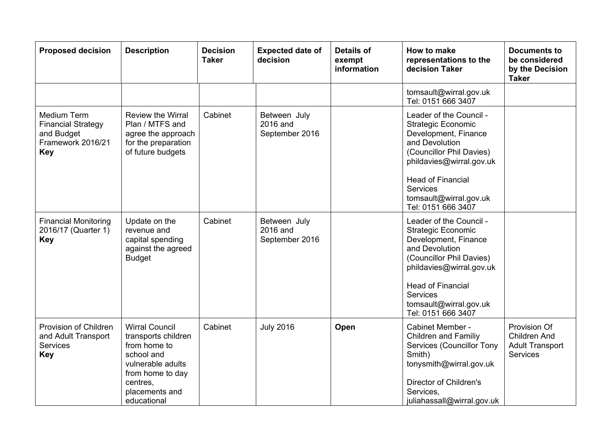| <b>Proposed decision</b>                                                                  | <b>Description</b>                                                                                                                                               | <b>Decision</b><br><b>Taker</b> | <b>Expected date of</b><br>decision        | <b>Details of</b><br>exempt<br>information | How to make<br>representations to the<br>decision Taker                                                                                                                                                                                               | <b>Documents to</b><br>be considered<br>by the Decision<br><b>Taker</b>   |
|-------------------------------------------------------------------------------------------|------------------------------------------------------------------------------------------------------------------------------------------------------------------|---------------------------------|--------------------------------------------|--------------------------------------------|-------------------------------------------------------------------------------------------------------------------------------------------------------------------------------------------------------------------------------------------------------|---------------------------------------------------------------------------|
|                                                                                           |                                                                                                                                                                  |                                 |                                            |                                            | tomsault@wirral.gov.uk<br>Tel: 0151 666 3407                                                                                                                                                                                                          |                                                                           |
| Medium Term<br><b>Financial Strategy</b><br>and Budget<br>Framework 2016/21<br><b>Key</b> | <b>Review the Wirral</b><br>Plan / MTFS and<br>agree the approach<br>for the preparation<br>of future budgets                                                    | Cabinet                         | Between July<br>2016 and<br>September 2016 |                                            | Leader of the Council -<br><b>Strategic Economic</b><br>Development, Finance<br>and Devolution<br>(Councillor Phil Davies)<br>phildavies@wirral.gov.uk<br><b>Head of Financial</b><br><b>Services</b><br>tomsault@wirral.gov.uk<br>Tel: 0151 666 3407 |                                                                           |
| <b>Financial Monitoring</b><br>2016/17 (Quarter 1)<br><b>Key</b>                          | Update on the<br>revenue and<br>capital spending<br>against the agreed<br><b>Budget</b>                                                                          | Cabinet                         | Between July<br>2016 and<br>September 2016 |                                            | Leader of the Council -<br><b>Strategic Economic</b><br>Development, Finance<br>and Devolution<br>(Councillor Phil Davies)<br>phildavies@wirral.gov.uk<br><b>Head of Financial</b><br><b>Services</b><br>tomsault@wirral.gov.uk<br>Tel: 0151 666 3407 |                                                                           |
| Provision of Children<br>and Adult Transport<br>Services<br><b>Key</b>                    | <b>Wirral Council</b><br>transports children<br>from home to<br>school and<br>vulnerable adults<br>from home to day<br>centres.<br>placements and<br>educational | Cabinet                         | <b>July 2016</b>                           | Open                                       | Cabinet Member -<br><b>Children and Familiy</b><br><b>Services (Councillor Tony</b><br>Smith)<br>tonysmith@wirral.gov.uk<br>Director of Children's<br>Services,<br>juliahassall@wirral.gov.uk                                                         | Provision Of<br><b>Children And</b><br><b>Adult Transport</b><br>Services |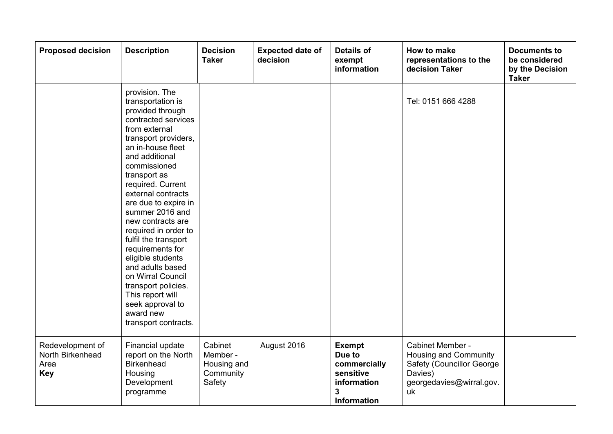| <b>Proposed decision</b>                                   | <b>Description</b>                                                                                                                                                                                                                                                                                                                                                                                                                                                                                                                              | <b>Decision</b><br><b>Taker</b>                           | <b>Expected date of</b><br>decision | <b>Details of</b><br>exempt<br>information                                                     | How to make<br>representations to the<br>decision Taker                                                             | <b>Documents to</b><br>be considered<br>by the Decision<br><b>Taker</b> |
|------------------------------------------------------------|-------------------------------------------------------------------------------------------------------------------------------------------------------------------------------------------------------------------------------------------------------------------------------------------------------------------------------------------------------------------------------------------------------------------------------------------------------------------------------------------------------------------------------------------------|-----------------------------------------------------------|-------------------------------------|------------------------------------------------------------------------------------------------|---------------------------------------------------------------------------------------------------------------------|-------------------------------------------------------------------------|
|                                                            | provision. The<br>transportation is<br>provided through<br>contracted services<br>from external<br>transport providers,<br>an in-house fleet<br>and additional<br>commissioned<br>transport as<br>required. Current<br>external contracts<br>are due to expire in<br>summer 2016 and<br>new contracts are<br>required in order to<br>fulfil the transport<br>requirements for<br>eligible students<br>and adults based<br>on Wirral Council<br>transport policies.<br>This report will<br>seek approval to<br>award new<br>transport contracts. |                                                           |                                     |                                                                                                | Tel: 0151 666 4288                                                                                                  |                                                                         |
| Redevelopment of<br>North Birkenhead<br>Area<br><b>Key</b> | Financial update<br>report on the North<br><b>Birkenhead</b><br>Housing<br>Development<br>programme                                                                                                                                                                                                                                                                                                                                                                                                                                             | Cabinet<br>Member -<br>Housing and<br>Community<br>Safety | August 2016                         | <b>Exempt</b><br>Due to<br>commercially<br>sensitive<br>information<br>3<br><b>Information</b> | Cabinet Member -<br>Housing and Community<br>Safety (Councillor George<br>Davies)<br>georgedavies@wirral.gov.<br>uk |                                                                         |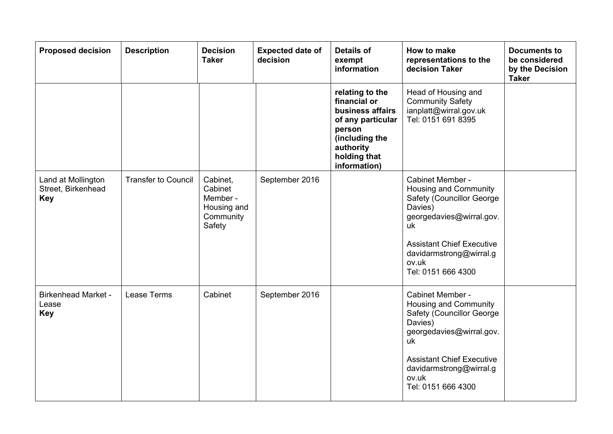| <b>Proposed decision</b>                               | <b>Description</b>         | <b>Decision</b><br><b>Taker</b>                                       | <b>Expected date of</b><br>decision | <b>Details of</b><br>exempt<br>information                                                                                                        | How to make<br>representations to the<br>decision Taker                                                                                                                                                                   | <b>Documents to</b><br>be considered<br>by the Decision<br><b>Taker</b> |
|--------------------------------------------------------|----------------------------|-----------------------------------------------------------------------|-------------------------------------|---------------------------------------------------------------------------------------------------------------------------------------------------|---------------------------------------------------------------------------------------------------------------------------------------------------------------------------------------------------------------------------|-------------------------------------------------------------------------|
|                                                        |                            |                                                                       |                                     | relating to the<br>financial or<br>business affairs<br>of any particular<br>person<br>(including the<br>authority<br>holding that<br>information) | Head of Housing and<br><b>Community Safety</b><br>ianplatt@wirral.gov.uk<br>Tel: 0151 691 8395                                                                                                                            |                                                                         |
| Land at Mollington<br>Street, Birkenhead<br><b>Key</b> | <b>Transfer to Council</b> | Cabinet,<br>Cabinet<br>Member -<br>Housing and<br>Community<br>Safety | September 2016                      |                                                                                                                                                   | Cabinet Member -<br>Housing and Community<br>Safety (Councillor George<br>Davies)<br>georgedavies@wirral.gov.<br>uk<br><b>Assistant Chief Executive</b><br>davidarmstrong@wirral.g<br>ov.uk<br>Tel: 0151 666 4300         |                                                                         |
| <b>Birkenhead Market -</b><br>Lease<br><b>Key</b>      | Lease Terms                | Cabinet                                                               | September 2016                      |                                                                                                                                                   | Cabinet Member -<br>Housing and Community<br><b>Safety (Councillor George)</b><br>Davies)<br>georgedavies@wirral.gov.<br>uk<br><b>Assistant Chief Executive</b><br>davidarmstrong@wirral.g<br>ov.uk<br>Tel: 0151 666 4300 |                                                                         |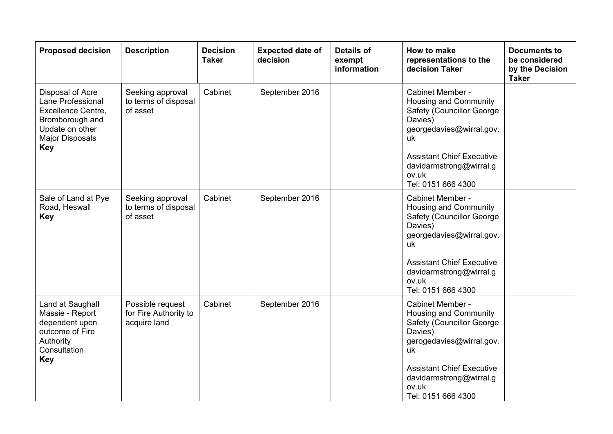| <b>Proposed decision</b>                                                                                                                  | <b>Description</b>                                        | <b>Decision</b><br><b>Taker</b> | <b>Expected date of</b><br>decision | <b>Details of</b><br>exempt<br>information | How to make<br>representations to the<br>decision Taker                                                                                                                                             | <b>Documents to</b><br>be considered<br>by the Decision<br><b>Taker</b> |
|-------------------------------------------------------------------------------------------------------------------------------------------|-----------------------------------------------------------|---------------------------------|-------------------------------------|--------------------------------------------|-----------------------------------------------------------------------------------------------------------------------------------------------------------------------------------------------------|-------------------------------------------------------------------------|
| Disposal of Acre<br>Lane Professional<br>Excellence Centre,<br>Bromborough and<br>Update on other<br><b>Major Disposals</b><br><b>Key</b> | Seeking approval<br>to terms of disposal<br>of asset      | Cabinet                         | September 2016                      |                                            | Cabinet Member -<br>Housing and Community<br><b>Safety (Councillor George)</b><br>Davies)<br>georgedavies@wirral.gov.<br>uk                                                                         |                                                                         |
|                                                                                                                                           |                                                           |                                 |                                     |                                            | <b>Assistant Chief Executive</b><br>davidarmstrong@wirral.g<br>ov.uk<br>Tel: 0151 666 4300                                                                                                          |                                                                         |
| Sale of Land at Pye<br>Road, Heswall<br><b>Key</b>                                                                                        | Seeking approval<br>to terms of disposal<br>of asset      | Cabinet                         | September 2016                      |                                            | Cabinet Member -<br>Housing and Community<br><b>Safety (Councillor George)</b><br>Davies)<br>georgedavies@wirral.gov.<br>uk<br><b>Assistant Chief Executive</b><br>davidarmstrong@wirral.g<br>ov.uk |                                                                         |
|                                                                                                                                           |                                                           |                                 |                                     |                                            | Tel: 0151 666 4300                                                                                                                                                                                  |                                                                         |
| Land at Saughall<br>Massie - Report<br>dependent upon<br>outcome of Fire<br>Authority<br>Consultation<br><b>Key</b>                       | Possible request<br>for Fire Authority to<br>acquire land | Cabinet                         | September 2016                      |                                            | Cabinet Member -<br>Housing and Community<br><b>Safety (Councillor George)</b><br>Davies)<br>gerogedavies@wirral.gov.<br>uk                                                                         |                                                                         |
|                                                                                                                                           |                                                           |                                 |                                     |                                            | <b>Assistant Chief Executive</b><br>davidarmstrong@wirral.g<br>ov.uk<br>Tel: 0151 666 4300                                                                                                          |                                                                         |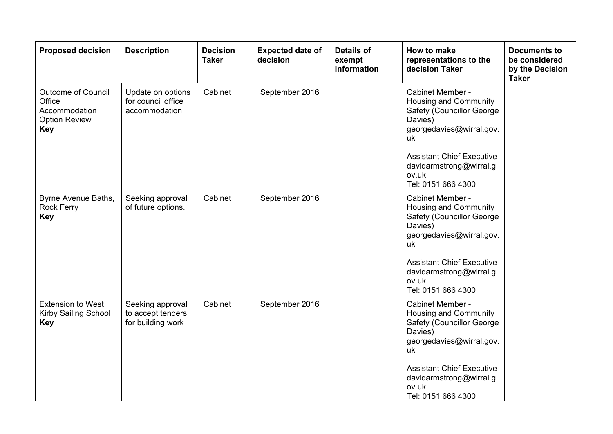| <b>Proposed decision</b>                                                                   | <b>Description</b>                                         | <b>Decision</b><br><b>Taker</b> | <b>Expected date of</b><br>decision | <b>Details of</b><br>exempt<br>information | How to make<br>representations to the<br>decision Taker                                                                                                                                                                   | <b>Documents to</b><br>be considered<br>by the Decision<br><b>Taker</b> |
|--------------------------------------------------------------------------------------------|------------------------------------------------------------|---------------------------------|-------------------------------------|--------------------------------------------|---------------------------------------------------------------------------------------------------------------------------------------------------------------------------------------------------------------------------|-------------------------------------------------------------------------|
| <b>Outcome of Council</b><br>Office<br>Accommodation<br><b>Option Review</b><br><b>Key</b> | Update on options<br>for council office<br>accommodation   | Cabinet                         | September 2016                      |                                            | Cabinet Member -<br>Housing and Community<br><b>Safety (Councillor George)</b><br>Davies)<br>georgedavies@wirral.gov.<br>uk<br><b>Assistant Chief Executive</b>                                                           |                                                                         |
|                                                                                            |                                                            |                                 |                                     |                                            | davidarmstrong@wirral.g<br>ov.uk<br>Tel: 0151 666 4300                                                                                                                                                                    |                                                                         |
| Byrne Avenue Baths,<br><b>Rock Ferry</b><br><b>Key</b>                                     | Seeking approval<br>of future options.                     | Cabinet                         | September 2016                      |                                            | Cabinet Member -<br>Housing and Community<br><b>Safety (Councillor George)</b><br>Davies)<br>georgedavies@wirral.gov.<br>uk<br><b>Assistant Chief Executive</b><br>davidarmstrong@wirral.g<br>ov.uk<br>Tel: 0151 666 4300 |                                                                         |
| <b>Extension to West</b><br><b>Kirby Sailing School</b><br><b>Key</b>                      | Seeking approval<br>to accept tenders<br>for building work | Cabinet                         | September 2016                      |                                            | Cabinet Member -<br>Housing and Community<br>Safety (Councillor George<br>Davies)<br>georgedavies@wirral.gov.<br>uk<br><b>Assistant Chief Executive</b><br>davidarmstrong@wirral.g<br>ov.uk<br>Tel: 0151 666 4300         |                                                                         |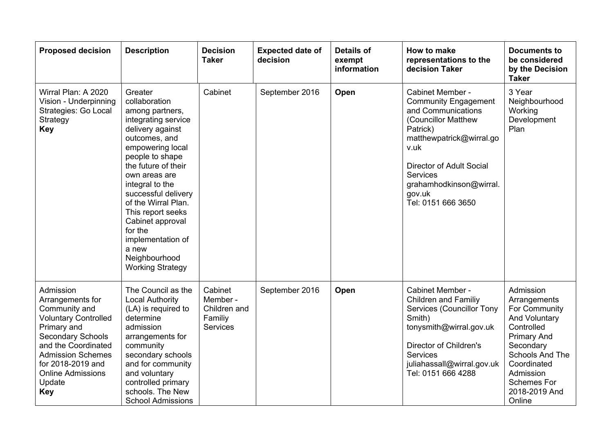| <b>Proposed decision</b>                                                                                                                                                                                                                             | <b>Description</b>                                                                                                                                                                                                                                                                                                                                                                    | <b>Decision</b><br><b>Taker</b>                                   | <b>Expected date of</b><br>decision | <b>Details of</b><br>exempt<br>information | How to make<br>representations to the<br>decision Taker                                                                                                                                                                                                | <b>Documents to</b><br>be considered<br>by the Decision<br><b>Taker</b>                                                                                                                                             |
|------------------------------------------------------------------------------------------------------------------------------------------------------------------------------------------------------------------------------------------------------|---------------------------------------------------------------------------------------------------------------------------------------------------------------------------------------------------------------------------------------------------------------------------------------------------------------------------------------------------------------------------------------|-------------------------------------------------------------------|-------------------------------------|--------------------------------------------|--------------------------------------------------------------------------------------------------------------------------------------------------------------------------------------------------------------------------------------------------------|---------------------------------------------------------------------------------------------------------------------------------------------------------------------------------------------------------------------|
| Wirral Plan: A 2020<br>Vision - Underpinning<br>Strategies: Go Local<br>Strategy<br><b>Key</b>                                                                                                                                                       | Greater<br>collaboration<br>among partners,<br>integrating service<br>delivery against<br>outcomes, and<br>empowering local<br>people to shape<br>the future of their<br>own areas are<br>integral to the<br>successful delivery<br>of the Wirral Plan.<br>This report seeks<br>Cabinet approval<br>for the<br>implementation of<br>a new<br>Neighbourhood<br><b>Working Strategy</b> | Cabinet                                                           | September 2016                      | Open                                       | Cabinet Member -<br><b>Community Engagement</b><br>and Communications<br>(Councillor Matthew<br>Patrick)<br>matthewpatrick@wirral.go<br>v.uk<br><b>Director of Adult Social</b><br>Services<br>grahamhodkinson@wirral.<br>gov.uk<br>Tel: 0151 666 3650 | 3 Year<br>Neighbourhood<br>Working<br>Development<br>Plan                                                                                                                                                           |
| Admission<br>Arrangements for<br>Community and<br><b>Voluntary Controlled</b><br>Primary and<br><b>Secondary Schools</b><br>and the Coordinated<br><b>Admission Schemes</b><br>for 2018-2019 and<br><b>Online Admissions</b><br>Update<br><b>Key</b> | The Council as the<br><b>Local Authority</b><br>(LA) is required to<br>determine<br>admission<br>arrangements for<br>community<br>secondary schools<br>and for community<br>and voluntary<br>controlled primary<br>schools. The New<br><b>School Admissions</b>                                                                                                                       | Cabinet<br>Member -<br>Children and<br>Familiy<br><b>Services</b> | September 2016                      | Open                                       | Cabinet Member -<br><b>Children and Familiy</b><br><b>Services (Councillor Tony</b><br>Smith)<br>tonysmith@wirral.gov.uk<br>Director of Children's<br>Services<br>juliahassall@wirral.gov.uk<br>Tel: 0151 666 4288                                     | Admission<br>Arrangements<br>For Community<br><b>And Voluntary</b><br>Controlled<br><b>Primary And</b><br>Secondary<br>Schools And The<br>Coordinated<br>Admission<br><b>Schemes For</b><br>2018-2019 And<br>Online |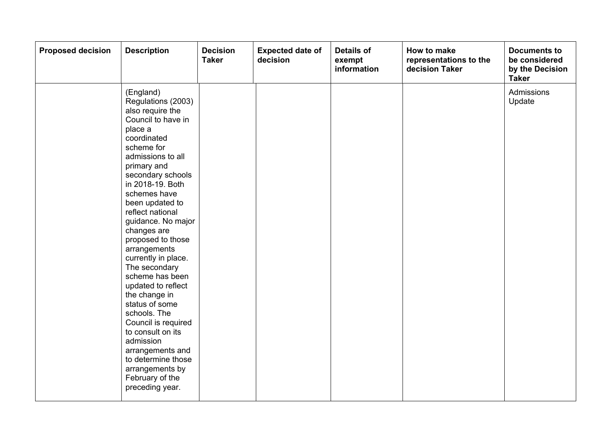| <b>Proposed decision</b> | <b>Description</b>                                                                                                                                                                                                                                                                                                                                                                                                                                                                                                                                                                                                              | <b>Decision</b><br><b>Taker</b> | <b>Expected date of</b><br>decision | <b>Details of</b><br>exempt<br>information | How to make<br>representations to the<br>decision Taker | <b>Documents to</b><br>be considered<br>by the Decision<br><b>Taker</b> |
|--------------------------|---------------------------------------------------------------------------------------------------------------------------------------------------------------------------------------------------------------------------------------------------------------------------------------------------------------------------------------------------------------------------------------------------------------------------------------------------------------------------------------------------------------------------------------------------------------------------------------------------------------------------------|---------------------------------|-------------------------------------|--------------------------------------------|---------------------------------------------------------|-------------------------------------------------------------------------|
|                          | (England)<br>Regulations (2003)<br>also require the<br>Council to have in<br>place a<br>coordinated<br>scheme for<br>admissions to all<br>primary and<br>secondary schools<br>in 2018-19. Both<br>schemes have<br>been updated to<br>reflect national<br>guidance. No major<br>changes are<br>proposed to those<br>arrangements<br>currently in place.<br>The secondary<br>scheme has been<br>updated to reflect<br>the change in<br>status of some<br>schools. The<br>Council is required<br>to consult on its<br>admission<br>arrangements and<br>to determine those<br>arrangements by<br>February of the<br>preceding year. |                                 |                                     |                                            |                                                         | <b>Admissions</b><br>Update                                             |